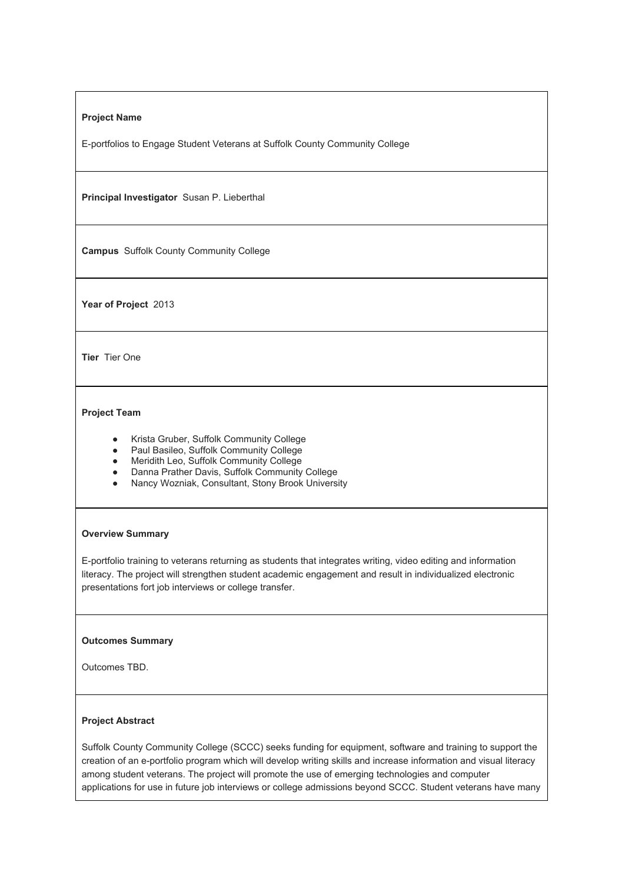## **Project Name**

E-portfolios to Engage Student Veterans at Suffolk County Community College

**Principal Investigator** Susan P. Lieberthal

**Campus** Suffolk County Community College

Year of Project 2013

**Tier** Tier One

# **Project Team**

- Krista Gruber, Suffolk Community College
- Paul Basileo, Suffolk Community College
- Meridith Leo, Suffolk Community College
- Danna Prather Davis, Suffolk Community College
- Nancy Wozniak, Consultant, Stony Brook University

### **Overview Summary**

E-portfolio training to veterans returning as students that integrates writing, video editing and information literacy. The project will strengthen student academic engagement and result in individualized electronic presentations fort job interviews or college transfer.

### **Outcomes Summary**

Outcomes TBD.

# **Project Abstract**

Suffolk County Community College (SCCC) seeks funding for equipment, software and training to support the creation of an e-portfolio program which will develop writing skills and increase information and visual literacy among student veterans. The project will promote the use of emerging technologies and computer applications for use in future job interviews or college admissions beyond SCCC. Student veterans have many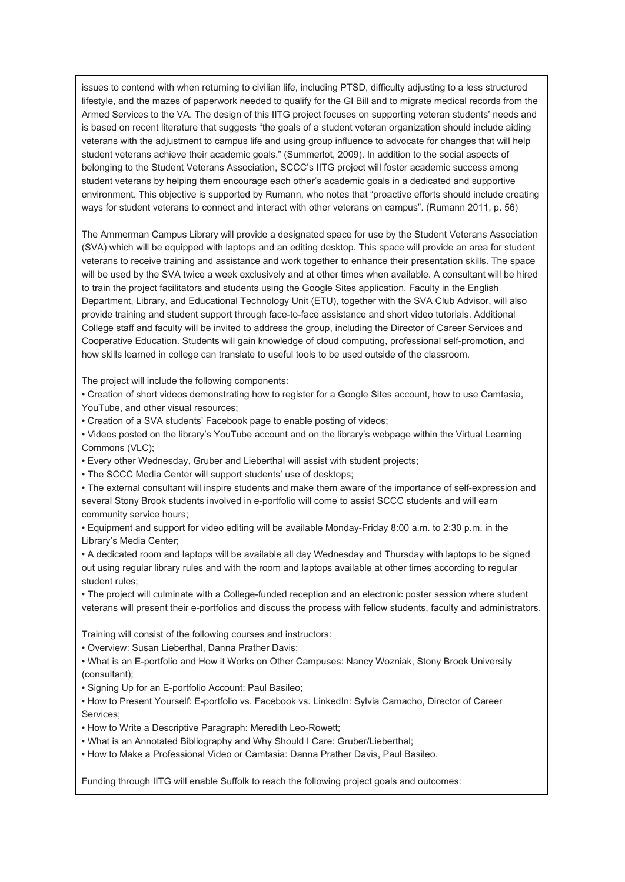issues to contend with when returning to civilian life, including PTSD, difficulty adjusting to a less structured lifestyle, and the mazes of paperwork needed to qualify for the GI Bill and to migrate medical records from the Armed Services to the VA. The design of this IITG project focuses on supporting veteran students' needs and is based on recent literature that suggests "the goals of a student veteran organization should include aiding veterans with the adjustment to campus life and using group influence to advocate for changes that will help student veterans achieve their academic goals." (Summerlot, 2009). In addition to the social aspects of belonging to the Student Veterans Association, SCCC's IITG project will foster academic success among student veterans by helping them encourage each other's academic goals in a dedicated and supportive environment. This objective is supported by Rumann, who notes that "proactive efforts should include creating ways for student veterans to connect and interact with other veterans on campus". (Rumann 2011, p. 56)

The Ammerman Campus Library will provide a designated space for use by the Student Veterans Association (SVA) which will be equipped with laptops and an editing desktop. This space will provide an area for student veterans to receive training and assistance and work together to enhance their presentation skills. The space will be used by the SVA twice a week exclusively and at other times when available. A consultant will be hired to train the project facilitators and students using the Google Sites application. Faculty in the English Department, Library, and Educational Technology Unit (ETU), together with the SVA Club Advisor, will also provide training and student support through face-to-face assistance and short video tutorials. Additional College staff and faculty will be invited to address the group, including the Director of Career Services and Cooperative Education. Students will gain knowledge of cloud computing, professional self-promotion, and how skills learned in college can translate to useful tools to be used outside of the classroom.

The project will include the following components:

• Creation of short videos demonstrating how to register for a Google Sites account, how to use Camtasia, YouTube, and other visual resources;

• Creation of a SVA students' Facebook page to enable posting of videos;

• Videos posted on the library's YouTube account and on the library's webpage within the Virtual Learning Commons (VLC);

• Every other Wednesday, Gruber and Lieberthal will assist with student projects;

• The SCCC Media Center will support students' use of desktops;

• The external consultant will inspire students and make them aware of the importance of self-expression and several Stony Brook students involved in e-portfolio will come to assist SCCC students and will earn community service hours;

• Equipment and support for video editing will be available MondayFriday 8:00 a.m. to 2:30 p.m. in the Library's Media Center;

• A dedicated room and laptops will be available all day Wednesday and Thursday with laptops to be signed out using regular library rules and with the room and laptops available at other times according to regular student rules;

• The project will culminate with a College-funded reception and an electronic poster session where student veterans will present their e-portfolios and discuss the process with fellow students, faculty and administrators.

Training will consist of the following courses and instructors:

• Overview: Susan Lieberthal, Danna Prather Davis;

• What is an Eportfolio and How it Works on Other Campuses: Nancy Wozniak, Stony Brook University (consultant);

• Signing Up for an E-portfolio Account: Paul Basileo;

• How to Present Yourself: E-portfolio vs. Facebook vs. LinkedIn: Sylvia Camacho, Director of Career Services;

• How to Write a Descriptive Paragraph: Meredith Leo-Rowett;

• What is an Annotated Bibliography and Why Should I Care: Gruber/Lieberthal;

• How to Make a Professional Video or Camtasia: Danna Prather Davis, Paul Basileo.

Funding through IITG will enable Suffolk to reach the following project goals and outcomes: